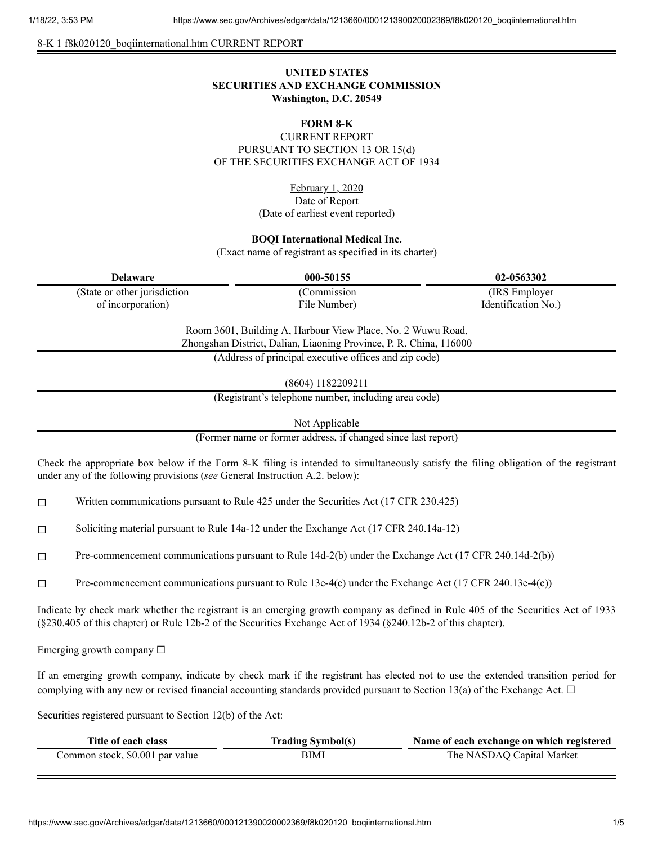8-K 1 f8k020120\_boqiinternational.htm CURRENT REPORT

# **UNITED STATES SECURITIES AND EXCHANGE COMMISSION Washington, D.C. 20549**

# **FORM 8-K**

CURRENT REPORT PURSUANT TO SECTION 13 OR 15(d) OF THE SECURITIES EXCHANGE ACT OF 1934

> February 1, 2020 Date of Report (Date of earliest event reported)

### **BOQI International Medical Inc.**

(Exact name of registrant as specified in its charter)

| <b>Delaware</b>              | 000-50155    | 02-0563302          |
|------------------------------|--------------|---------------------|
| (State or other jurisdiction | (Commission) | (IRS Employer)      |
| of incorporation)            | File Number) | Identification No.) |

Room 3601, Building A, Harbour View Place, No. 2 Wuwu Road, Zhongshan District, Dalian, Liaoning Province, P. R. China, 116000

(Address of principal executive offices and zip code)

(8604) 1182209211

(Registrant's telephone number, including area code)

Not Applicable

(Former name or former address, if changed since last report)

Check the appropriate box below if the Form 8-K filing is intended to simultaneously satisfy the filing obligation of the registrant under any of the following provisions (*see* General Instruction A.2. below):

☐ Written communications pursuant to Rule 425 under the Securities Act (17 CFR 230.425)

☐ Soliciting material pursuant to Rule 14a-12 under the Exchange Act (17 CFR 240.14a-12)

☐ Pre-commencement communications pursuant to Rule 14d-2(b) under the Exchange Act (17 CFR 240.14d-2(b))

☐ Pre-commencement communications pursuant to Rule 13e-4(c) under the Exchange Act (17 CFR 240.13e-4(c))

Indicate by check mark whether the registrant is an emerging growth company as defined in Rule 405 of the Securities Act of 1933 (§230.405 of this chapter) or Rule 12b-2 of the Securities Exchange Act of 1934 (§240.12b-2 of this chapter).

Emerging growth company  $\Box$ 

If an emerging growth company, indicate by check mark if the registrant has elected not to use the extended transition period for complying with any new or revised financial accounting standards provided pursuant to Section 13(a) of the Exchange Act.  $\Box$ 

Securities registered pursuant to Section 12(b) of the Act:

| Title of each class             | <b>Trading Symbol(s)</b> | Name of each exchange on which registered |
|---------------------------------|--------------------------|-------------------------------------------|
| Common stock, \$0.001 par value | BIMI                     | The NASDAQ Capital Market                 |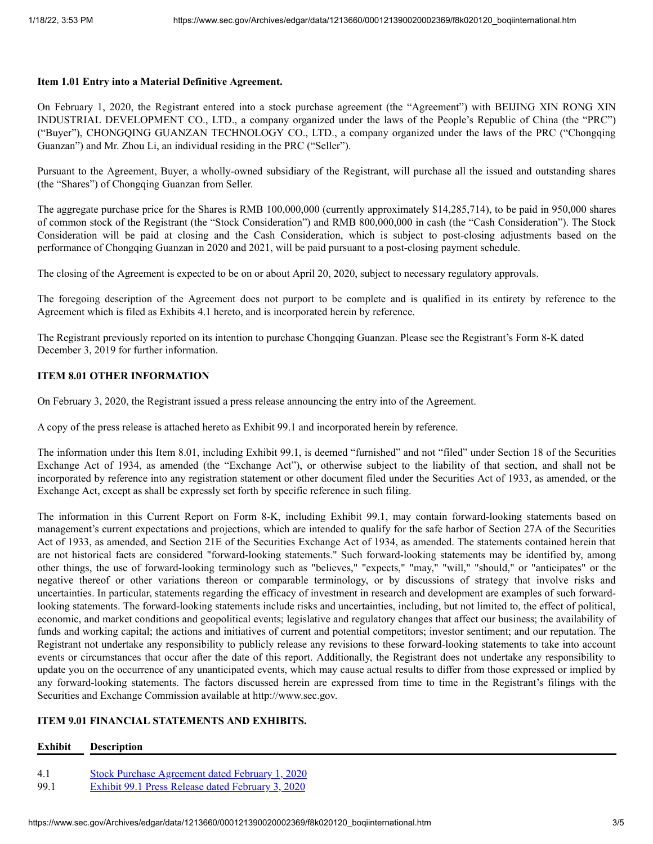#### **Item 1.01 Entry into a Material Definitive Agreement.**

On February 1, 2020, the Registrant entered into a stock purchase agreement (the "Agreement") with BEIJING XIN RONG XIN INDUSTRIAL DEVELOPMENT CO., LTD., a company organized under the laws of the People's Republic of China (the "PRC") ("Buyer"), CHONGQING GUANZAN TECHNOLOGY CO., LTD., a company organized under the laws of the PRC ("Chongqing Guanzan") and Mr. Zhou Li, an individual residing in the PRC ("Seller").

Pursuant to the Agreement, Buyer, a wholly-owned subsidiary of the Registrant, will purchase all the issued and outstanding shares (the "Shares") of Chongqing Guanzan from Seller.

The aggregate purchase price for the Shares is RMB 100,000,000 (currently approximately \$14,285,714), to be paid in 950,000 shares of common stock of the Registrant (the "Stock Consideration") and RMB 800,000,000 in cash (the "Cash Consideration"). The Stock Consideration will be paid at closing and the Cash Consideration, which is subject to post-closing adjustments based on the performance of Chongqing Guanzan in 2020 and 2021, will be paid pursuant to a post-closing payment schedule.

The closing of the Agreement is expected to be on or about April 20, 2020, subject to necessary regulatory approvals.

The foregoing description of the Agreement does not purport to be complete and is qualified in its entirety by reference to the Agreement which is filed as Exhibits 4.1 hereto, and is incorporated herein by reference.

The Registrant previously reported on its intention to purchase Chongqing Guanzan. Please see the Registrant's Form 8-K dated December 3, 2019 for further information.

## **ITEM 8.01 OTHER INFORMATION**

On February 3, 2020, the Registrant issued a press release announcing the entry into of the Agreement.

A copy of the press release is attached hereto as Exhibit 99.1 and incorporated herein by reference.

The information under this Item 8.01, including Exhibit 99.1, is deemed "furnished" and not "filed" under Section 18 of the Securities Exchange Act of 1934, as amended (the "Exchange Act"), or otherwise subject to the liability of that section, and shall not be incorporated by reference into any registration statement or other document filed under the Securities Act of 1933, as amended, or the Exchange Act, except as shall be expressly set forth by specific reference in such filing.

The information in this Current Report on Form 8-K, including Exhibit 99.1, may contain forward-looking statements based on management's current expectations and projections, which are intended to qualify for the safe harbor of Section 27A of the Securities Act of 1933, as amended, and Section 21E of the Securities Exchange Act of 1934, as amended. The statements contained herein that are not historical facts are considered "forward-looking statements." Such forward-looking statements may be identified by, among other things, the use of forward-looking terminology such as "believes," "expects," "may," "will," "should," or "anticipates" or the negative thereof or other variations thereon or comparable terminology, or by discussions of strategy that involve risks and uncertainties. In particular, statements regarding the efficacy of investment in research and development are examples of such forwardlooking statements. The forward-looking statements include risks and uncertainties, including, but not limited to, the effect of political, economic, and market conditions and geopolitical events; legislative and regulatory changes that affect our business; the availability of funds and working capital; the actions and initiatives of current and potential competitors; investor sentiment; and our reputation. The Registrant not undertake any responsibility to publicly release any revisions to these forward-looking statements to take into account events or circumstances that occur after the date of this report. Additionally, the Registrant does not undertake any responsibility to update you on the occurrence of any unanticipated events, which may cause actual results to differ from those expressed or implied by any forward-looking statements. The factors discussed herein are expressed from time to time in the Registrant's filings with the Securities and Exchange Commission available at http://www.sec.gov.

## **ITEM 9.01 FINANCIAL STATEMENTS AND EXHIBITS.**

#### **Exhibit Description**

- 4.1 Stock Purchase [Agreement](https://www.sec.gov/Archives/edgar/data/1213660/000121390020002369/f8k020120ex4-1_boqiinter.htm) dated February 1, 2020
- 99.1 Exhibit 99.1 Press Release dated [February](https://www.sec.gov/Archives/edgar/data/1213660/000121390020002369/f8k020120ex99-1_boqiinter.htm) 3, 2020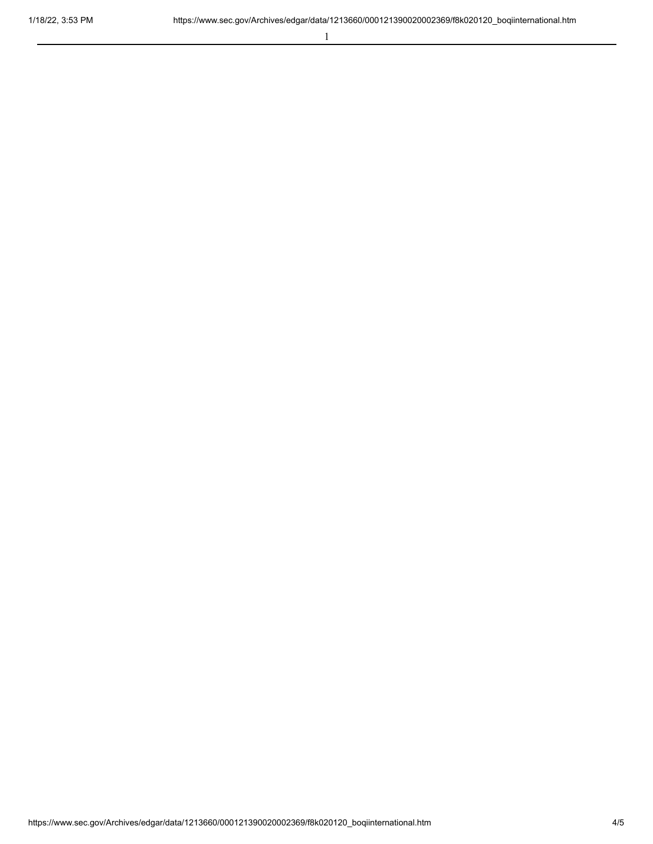1